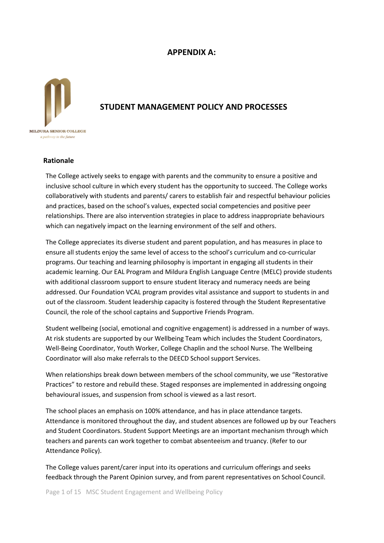# **APPENDIX A:**



# **STUDENT MANAGEMENT POLICY AND PROCESSES**

#### **Rationale**

The College actively seeks to engage with parents and the community to ensure a positive and inclusive school culture in which every student has the opportunity to succeed. The College works collaboratively with students and parents/ carers to establish fair and respectful behaviour policies and practices, based on the school's values, expected social competencies and positive peer relationships. There are also intervention strategies in place to address inappropriate behaviours which can negatively impact on the learning environment of the self and others.

The College appreciates its diverse student and parent population, and has measures in place to ensure all students enjoy the same level of access to the school's curriculum and co-curricular programs. Our teaching and learning philosophy is important in engaging all students in their academic learning. Our EAL Program and Mildura English Language Centre (MELC) provide students with additional classroom support to ensure student literacy and numeracy needs are being addressed. Our Foundation VCAL program provides vital assistance and support to students in and out of the classroom. Student leadership capacity is fostered through the Student Representative Council, the role of the school captains and Supportive Friends Program.

Student wellbeing (social, emotional and cognitive engagement) is addressed in a number of ways. At risk students are supported by our Wellbeing Team which includes the Student Coordinators, Well-Being Coordinator, Youth Worker, College Chaplin and the school Nurse. The Wellbeing Coordinator will also make referrals to the DEECD School support Services.

When relationships break down between members of the school community, we use "Restorative Practices" to restore and rebuild these. Staged responses are implemented in addressing ongoing behavioural issues, and suspension from school is viewed as a last resort.

The school places an emphasis on 100% attendance, and has in place attendance targets. Attendance is monitored throughout the day, and student absences are followed up by our Teachers and Student Coordinators. Student Support Meetings are an important mechanism through which teachers and parents can work together to combat absenteeism and truancy. (Refer to our Attendance Policy).

The College values parent/carer input into its operations and curriculum offerings and seeks feedback through the Parent Opinion survey, and from parent representatives on School Council.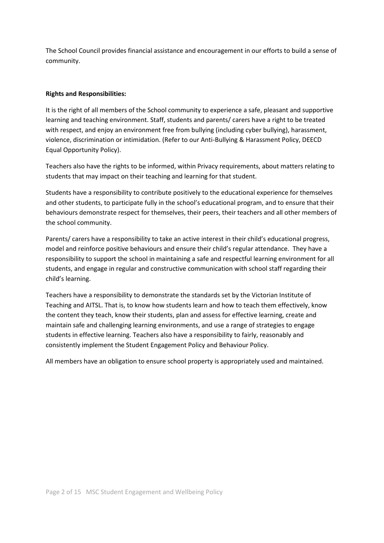The School Council provides financial assistance and encouragement in our efforts to build a sense of community.

## **Rights and Responsibilities:**

It is the right of all members of the School community to experience a safe, pleasant and supportive learning and teaching environment. Staff, students and parents/ carers have a right to be treated with respect, and enjoy an environment free from bullying (including cyber bullying), harassment, violence, discrimination or intimidation. (Refer to our Anti-Bullying & Harassment Policy, DEECD Equal Opportunity Policy).

Teachers also have the rights to be informed, within Privacy requirements, about matters relating to students that may impact on their teaching and learning for that student.

Students have a responsibility to contribute positively to the educational experience for themselves and other students, to participate fully in the school's educational program, and to ensure that their behaviours demonstrate respect for themselves, their peers, their teachers and all other members of the school community.

Parents/ carers have a responsibility to take an active interest in their child's educational progress, model and reinforce positive behaviours and ensure their child's regular attendance. They have a responsibility to support the school in maintaining a safe and respectful learning environment for all students, and engage in regular and constructive communication with school staff regarding their child's learning.

Teachers have a responsibility to demonstrate the standards set by the Victorian Institute of Teaching and AITSL. That is, to know how students learn and how to teach them effectively, know the content they teach, know their students, plan and assess for effective learning, create and maintain safe and challenging learning environments, and use a range of strategies to engage students in effective learning. Teachers also have a responsibility to fairly, reasonably and consistently implement the Student Engagement Policy and Behaviour Policy.

All members have an obligation to ensure school property is appropriately used and maintained.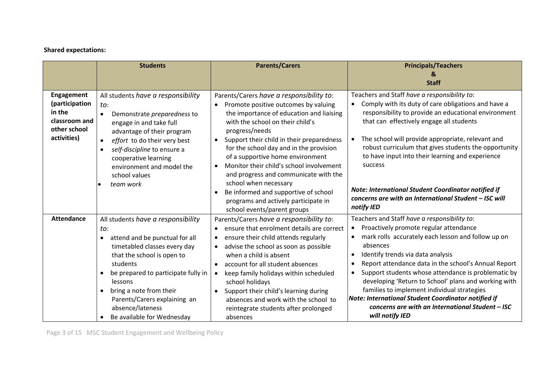# **Shared expectations:**

|                                                                                        | <b>Students</b>                                                                                                                                                                                                                                                                                                                                                          | <b>Parents/Carers</b>                                                                                                                                                                                                                                                                                                                                                                                                                                                                                                                                    | <b>Principals/Teachers</b><br><b>Staff</b>                                                                                                                                                                                                                                                                                                                                                                                                                                                                                                                                                                         |
|----------------------------------------------------------------------------------------|--------------------------------------------------------------------------------------------------------------------------------------------------------------------------------------------------------------------------------------------------------------------------------------------------------------------------------------------------------------------------|----------------------------------------------------------------------------------------------------------------------------------------------------------------------------------------------------------------------------------------------------------------------------------------------------------------------------------------------------------------------------------------------------------------------------------------------------------------------------------------------------------------------------------------------------------|--------------------------------------------------------------------------------------------------------------------------------------------------------------------------------------------------------------------------------------------------------------------------------------------------------------------------------------------------------------------------------------------------------------------------------------------------------------------------------------------------------------------------------------------------------------------------------------------------------------------|
| Engagement<br>(participation<br>in the<br>classroom and<br>other school<br>activities) | All students have a responsibility<br>to:<br>Demonstrate <i>preparedness</i> to<br>$\bullet$<br>engage in and take full<br>advantage of their program<br>effort to do their very best<br>$\bullet$<br>self-discipline to ensure a<br>$\bullet$<br>cooperative learning<br>environment and model the<br>school values<br>team work                                        | Parents/Carers have a responsibility to:<br>Promote positive outcomes by valuing<br>the importance of education and liaising<br>with the school on their child's<br>progress/needs<br>Support their child in their preparedness<br>for the school day and in the provision<br>of a supportive home environment<br>Monitor their child's school involvement<br>$\bullet$<br>and progress and communicate with the<br>school when necessary<br>Be informed and supportive of school<br>programs and actively participate in<br>school events/parent groups | Teachers and Staff have a responsibility to:<br>Comply with its duty of care obligations and have a<br>$\bullet$<br>responsibility to provide an educational environment<br>that can effectively engage all students<br>The school will provide appropriate, relevant and<br>$\bullet$<br>robust curriculum that gives students the opportunity<br>to have input into their learning and experience<br>success<br>Note: International Student Coordinator notified if<br>concerns are with an International Student - ISC will<br>notify IED                                                                       |
| <b>Attendance</b>                                                                      | All students have a responsibility<br>to:<br>attend and be punctual for all<br>$\bullet$<br>timetabled classes every day<br>that the school is open to<br>students<br>be prepared to participate fully in<br>$\bullet$<br>lessons<br>bring a note from their<br>$\bullet$<br>Parents/Carers explaining an<br>absence/lateness<br>Be available for Wednesday<br>$\bullet$ | Parents/Carers have a responsibility to:<br>ensure that enrolment details are correct<br>$\bullet$<br>ensure their child attends regularly<br>advise the school as soon as possible<br>$\bullet$<br>when a child is absent<br>account for all student absences<br>keep family holidays within scheduled<br>$\bullet$<br>school holidays<br>Support their child's learning during<br>$\bullet$<br>absences and work with the school to<br>reintegrate students after prolonged<br>absences                                                                | Teachers and Staff have a responsibility to:<br>Proactively promote regular attendance<br>$\bullet$<br>mark rolls accurately each lesson and follow up on<br>$\bullet$<br>absences<br>Identify trends via data analysis<br>$\bullet$<br>Report attendance data in the school's Annual Report<br>$\bullet$<br>Support students whose attendance is problematic by<br>$\bullet$<br>developing 'Return to School' plans and working with<br>families to implement individual strategies<br>Note: International Student Coordinator notified if<br>concerns are with an International Student - ISC<br>will notify IED |

Page 3 of 15 MSC Student Engagement and Wellbeing Policy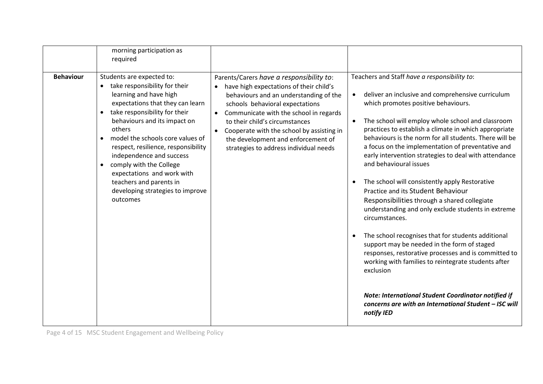| required                                                                                                                                                                                   | morning participation as                                                                                                                                                                                                                                                                                    |                                                                                                                                                                                                                                                                                                                                                                           |                                                                                                                                                                                                                                                                                                                                                                                                                                                                                                                                                                                                                                                                                                                                                                                                                                                                                                                                                                                                                                                                |
|--------------------------------------------------------------------------------------------------------------------------------------------------------------------------------------------|-------------------------------------------------------------------------------------------------------------------------------------------------------------------------------------------------------------------------------------------------------------------------------------------------------------|---------------------------------------------------------------------------------------------------------------------------------------------------------------------------------------------------------------------------------------------------------------------------------------------------------------------------------------------------------------------------|----------------------------------------------------------------------------------------------------------------------------------------------------------------------------------------------------------------------------------------------------------------------------------------------------------------------------------------------------------------------------------------------------------------------------------------------------------------------------------------------------------------------------------------------------------------------------------------------------------------------------------------------------------------------------------------------------------------------------------------------------------------------------------------------------------------------------------------------------------------------------------------------------------------------------------------------------------------------------------------------------------------------------------------------------------------|
| <b>Behaviour</b><br>Students are expected to:<br>learning and have high<br>$\bullet$<br>others<br>$\bullet$<br>comply with the College<br>$\bullet$<br>teachers and parents in<br>outcomes | take responsibility for their<br>expectations that they can learn<br>take responsibility for their<br>behaviours and its impact on<br>model the schools core values of<br>respect, resilience, responsibility<br>independence and success<br>expectations and work with<br>developing strategies to improve | Parents/Carers have a responsibility to:<br>have high expectations of their child's<br>behaviours and an understanding of the<br>schools behavioral expectations<br>Communicate with the school in regards<br>to their child's circumstances<br>Cooperate with the school by assisting in<br>the development and enforcement of<br>strategies to address individual needs | Teachers and Staff have a responsibility to:<br>deliver an inclusive and comprehensive curriculum<br>which promotes positive behaviours.<br>The school will employ whole school and classroom<br>$\bullet$<br>practices to establish a climate in which appropriate<br>behaviours is the norm for all students. There will be<br>a focus on the implementation of preventative and<br>early intervention strategies to deal with attendance<br>and behavioural issues<br>The school will consistently apply Restorative<br>٠<br>Practice and its Student Behaviour<br>Responsibilities through a shared collegiate<br>understanding and only exclude students in extreme<br>circumstances.<br>The school recognises that for students additional<br>٠<br>support may be needed in the form of staged<br>responses, restorative processes and is committed to<br>working with families to reintegrate students after<br>exclusion<br>Note: International Student Coordinator notified if<br>concerns are with an International Student - ISC will<br>notify IED |

Page 4 of 15 MSC Student Engagement and Wellbeing Policy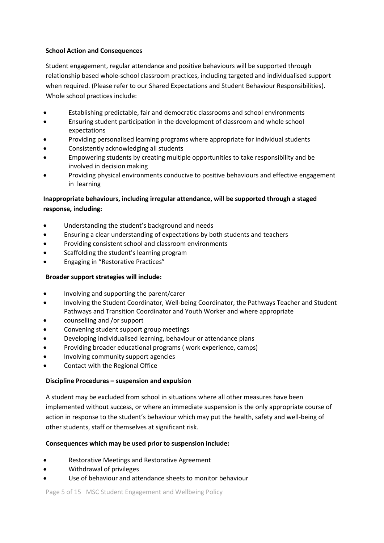## **School Action and Consequences**

Student engagement, regular attendance and positive behaviours will be supported through relationship based whole-school classroom practices, including targeted and individualised support when required. (Please refer to our Shared Expectations and Student Behaviour Responsibilities). Whole school practices include:

- Establishing predictable, fair and democratic classrooms and school environments
- Ensuring student participation in the development of classroom and whole school expectations
- Providing personalised learning programs where appropriate for individual students
- Consistently acknowledging all students
- Empowering students by creating multiple opportunities to take responsibility and be involved in decision making
- Providing physical environments conducive to positive behaviours and effective engagement in learning

# **Inappropriate behaviours, including irregular attendance, will be supported through a staged response, including:**

- Understanding the student's background and needs
- Ensuring a clear understanding of expectations by both students and teachers
- Providing consistent school and classroom environments
- Scaffolding the student's learning program
- Engaging in "Restorative Practices"

# **Broader support strategies will include:**

- Involving and supporting the parent/carer
- Involving the Student Coordinator, Well-being Coordinator, the Pathways Teacher and Student Pathways and Transition Coordinator and Youth Worker and where appropriate
- counselling and /or support
- Convening student support group meetings
- Developing individualised learning, behaviour or attendance plans
- Providing broader educational programs ( work experience, camps)
- Involving community support agencies
- Contact with the Regional Office

# **Discipline Procedures – suspension and expulsion**

A student may be excluded from school in situations where all other measures have been implemented without success, or where an immediate suspension is the only appropriate course of action in response to the student's behaviour which may put the health, safety and well-being of other students, staff or themselves at significant risk.

# **Consequences which may be used prior to suspension include:**

- Restorative Meetings and Restorative Agreement
- Withdrawal of privileges
- Use of behaviour and attendance sheets to monitor behaviour

Page 5 of 15 MSC Student Engagement and Wellbeing Policy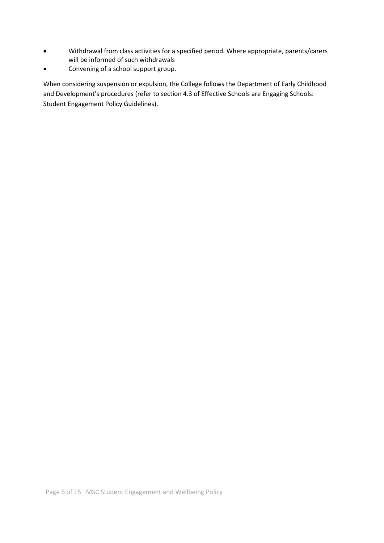- Withdrawal from class activities for a specified period. Where appropriate, parents/carers will be informed of such withdrawals
- Convening of a school support group.

When considering suspension or expulsion, the College follows the Department of Early Childhood and Development's procedures (refer to section 4.3 of Effective Schools are Engaging Schools: Student Engagement Policy Guidelines).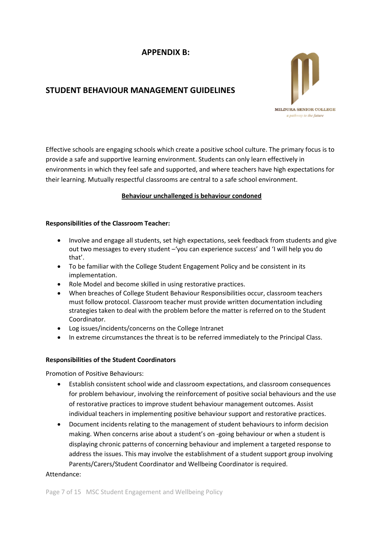# **APPENDIX B:**

# **STUDENT BEHAVIOUR MANAGEMENT GUIDELINES**



Effective schools are engaging schools which create a positive school culture. The primary focus is to provide a safe and supportive learning environment. Students can only learn effectively in environments in which they feel safe and supported, and where teachers have high expectations for their learning. Mutually respectful classrooms are central to a safe school environment.

# **Behaviour unchallenged is behaviour condoned**

#### **Responsibilities of the Classroom Teacher:**

- Involve and engage all students, set high expectations, seek feedback from students and give out two messages to every student –'you can experience success' and 'I will help you do that'.
- To be familiar with the College Student Engagement Policy and be consistent in its implementation.
- Role Model and become skilled in using restorative practices.
- When breaches of College Student Behaviour Responsibilities occur, classroom teachers must follow protocol. Classroom teacher must provide written documentation including strategies taken to deal with the problem before the matter is referred on to the Student Coordinator.
- Log issues/incidents/concerns on the College Intranet
- In extreme circumstances the threat is to be referred immediately to the Principal Class.

#### **Responsibilities of the Student Coordinators**

Promotion of Positive Behaviours:

- Establish consistent school wide and classroom expectations, and classroom consequences for problem behaviour, involving the reinforcement of positive social behaviours and the use of restorative practices to improve student behaviour management outcomes. Assist individual teachers in implementing positive behaviour support and restorative practices.
- Document incidents relating to the management of student behaviours to inform decision making. When concerns arise about a student's on -going behaviour or when a student is displaying chronic patterns of concerning behaviour and implement a targeted response to address the issues. This may involve the establishment of a student support group involving Parents/Carers/Student Coordinator and Wellbeing Coordinator is required.

#### Attendance: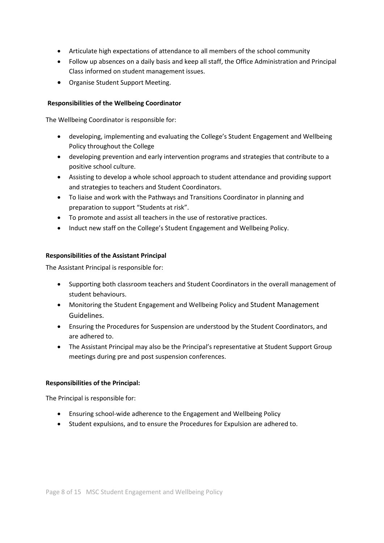- Articulate high expectations of attendance to all members of the school community
- Follow up absences on a daily basis and keep all staff, the Office Administration and Principal Class informed on student management issues.
- Organise Student Support Meeting.

# **Responsibilities of the Wellbeing Coordinator**

The Wellbeing Coordinator is responsible for:

- developing, implementing and evaluating the College's Student Engagement and Wellbeing Policy throughout the College
- developing prevention and early intervention programs and strategies that contribute to a positive school culture.
- Assisting to develop a whole school approach to student attendance and providing support and strategies to teachers and Student Coordinators.
- To liaise and work with the Pathways and Transitions Coordinator in planning and preparation to support "Students at risk".
- To promote and assist all teachers in the use of restorative practices.
- Induct new staff on the College's Student Engagement and Wellbeing Policy.

# **Responsibilities of the Assistant Principal**

The Assistant Principal is responsible for:

- Supporting both classroom teachers and Student Coordinators in the overall management of student behaviours.
- Monitoring the Student Engagement and Wellbeing Policy and Student Management Guidelines.
- Ensuring the Procedures for Suspension are understood by the Student Coordinators, and are adhered to.
- The Assistant Principal may also be the Principal's representative at Student Support Group meetings during pre and post suspension conferences.

# **Responsibilities of the Principal:**

The Principal is responsible for:

- Ensuring school-wide adherence to the Engagement and Wellbeing Policy
- Student expulsions, and to ensure the Procedures for Expulsion are adhered to.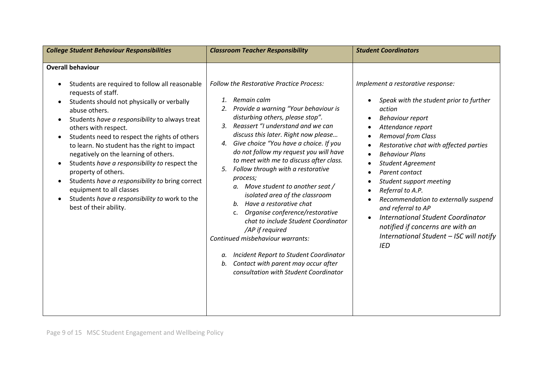| <b>College Student Behaviour Responsibilities</b>                                                                                                                                                                                                                                                                                                                                                                                                                                                                                                                                                                                                                                      | <b>Classroom Teacher Responsibility</b>                                                                                                                                                                                                                                                                                                                                                                                                                                                                                                                                                                                                                                                                                                                                                                                                     | <b>Student Coordinators</b>                                                                                                                                                                                                                                                                                                                                                                                                                                                                                                          |
|----------------------------------------------------------------------------------------------------------------------------------------------------------------------------------------------------------------------------------------------------------------------------------------------------------------------------------------------------------------------------------------------------------------------------------------------------------------------------------------------------------------------------------------------------------------------------------------------------------------------------------------------------------------------------------------|---------------------------------------------------------------------------------------------------------------------------------------------------------------------------------------------------------------------------------------------------------------------------------------------------------------------------------------------------------------------------------------------------------------------------------------------------------------------------------------------------------------------------------------------------------------------------------------------------------------------------------------------------------------------------------------------------------------------------------------------------------------------------------------------------------------------------------------------|--------------------------------------------------------------------------------------------------------------------------------------------------------------------------------------------------------------------------------------------------------------------------------------------------------------------------------------------------------------------------------------------------------------------------------------------------------------------------------------------------------------------------------------|
| <b>Overall behaviour</b><br>Students are required to follow all reasonable<br>$\bullet$<br>requests of staff.<br>Students should not physically or verbally<br>$\bullet$<br>abuse others.<br>Students have a responsibility to always treat<br>$\bullet$<br>others with respect.<br>Students need to respect the rights of others<br>$\bullet$<br>to learn. No student has the right to impact<br>negatively on the learning of others.<br>Students have a responsibility to respect the<br>$\bullet$<br>property of others.<br>Students have a responsibility to bring correct<br>equipment to all classes<br>Students have a responsibility to work to the<br>best of their ability. | <b>Follow the Restorative Practice Process:</b><br>Remain calm<br>$\mathbf{1}$ .<br>Provide a warning "Your behaviour is<br>2.<br>disturbing others, please stop".<br>3. Reassert "I understand and we can<br>discuss this later. Right now please<br>4. Give choice "You have a choice. If you<br>do not follow my request you will have<br>to meet with me to discuss after class.<br>Follow through with a restorative<br>5.<br>process;<br>a. Move student to another seat /<br>isolated area of the classroom<br>Have a restorative chat<br>b.<br>Organise conference/restorative<br>$C_{\bullet}$<br>chat to include Student Coordinator<br>/AP if required<br>Continued misbehaviour warrants:<br>Incident Report to Student Coordinator<br>а.<br>Contact with parent may occur after<br>b.<br>consultation with Student Coordinator | Implement a restorative response:<br>Speak with the student prior to further<br>action<br><b>Behaviour report</b><br>Attendance report<br><b>Removal from Class</b><br>Restorative chat with affected parties<br><b>Behaviour Plans</b><br><b>Student Agreement</b><br>Parent contact<br>Student support meeting<br>Referral to A.P.<br>Recommendation to externally suspend<br>and referral to AP<br>International Student Coordinator<br>notified if concerns are with an<br>International Student - ISC will notify<br><b>IED</b> |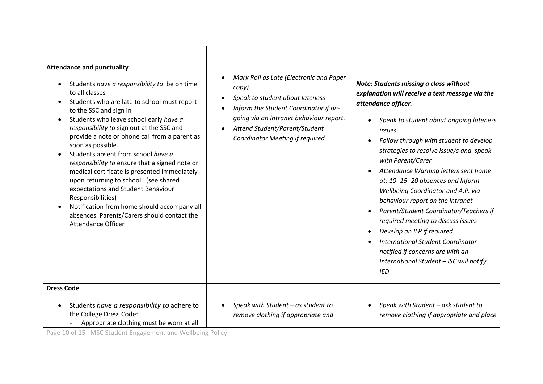| <b>Attendance and punctuality</b><br>Students have a responsibility to be on time<br>to all classes<br>Students who are late to school must report<br>to the SSC and sign in<br>Students who leave school early have a<br>responsibility to sign out at the SSC and<br>provide a note or phone call from a parent as<br>soon as possible.<br>Students absent from school have a<br>responsibility to ensure that a signed note or<br>medical certificate is presented immediately<br>upon returning to school. (see shared<br>expectations and Student Behaviour<br>Responsibilities)<br>Notification from home should accompany all<br>absences. Parents/Carers should contact the<br><b>Attendance Officer</b> | Mark Roll as Late (Electronic and Paper<br>$\bullet$<br>copy)<br>Speak to student about lateness<br>$\bullet$<br>Inform the Student Coordinator if on-<br>going via an Intranet behaviour report.<br>Attend Student/Parent/Student<br>$\bullet$<br>Coordinator Meeting if required | Note: Students missing a class without<br>explanation will receive a text message via the<br>attendance officer.<br>Speak to student about ongoing lateness<br>issues.<br>Follow through with student to develop<br>strategies to resolve issue/s and speak<br>with Parent/Carer<br>Attendance Warning letters sent home<br>$\bullet$<br>at: 10-15-20 absences and Inform<br>Wellbeing Coordinator and A.P. via<br>behaviour report on the intranet.<br>Parent/Student Coordinator/Teachers if<br>required meeting to discuss issues<br>Develop an ILP if required.<br>$\bullet$<br><b>International Student Coordinator</b><br>notified if concerns are with an<br>International Student - ISC will notify<br><b>IED</b> |
|------------------------------------------------------------------------------------------------------------------------------------------------------------------------------------------------------------------------------------------------------------------------------------------------------------------------------------------------------------------------------------------------------------------------------------------------------------------------------------------------------------------------------------------------------------------------------------------------------------------------------------------------------------------------------------------------------------------|------------------------------------------------------------------------------------------------------------------------------------------------------------------------------------------------------------------------------------------------------------------------------------|---------------------------------------------------------------------------------------------------------------------------------------------------------------------------------------------------------------------------------------------------------------------------------------------------------------------------------------------------------------------------------------------------------------------------------------------------------------------------------------------------------------------------------------------------------------------------------------------------------------------------------------------------------------------------------------------------------------------------|
| <b>Dress Code</b><br>Students have a responsibility to adhere to<br>the College Dress Code:<br>Appropriate clothing must be worn at all                                                                                                                                                                                                                                                                                                                                                                                                                                                                                                                                                                          | Speak with Student - as student to<br>remove clothing if appropriate and                                                                                                                                                                                                           | Speak with Student - ask student to<br>remove clothing if appropriate and place                                                                                                                                                                                                                                                                                                                                                                                                                                                                                                                                                                                                                                           |

Page 10 of 15 MSC Student Engagement and Wellbeing Policy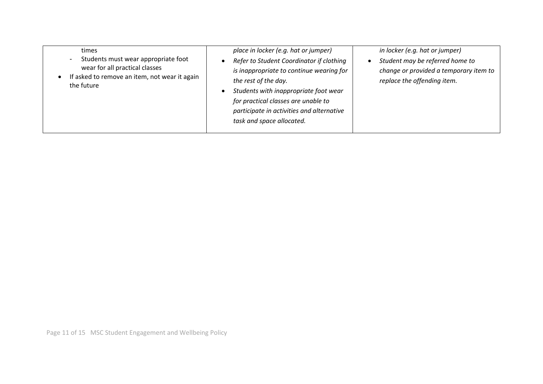| times<br>Students must wear appropriate foot<br>$\blacksquare$<br>wear for all practical classes<br>If asked to remove an item, not wear it again<br>the future | place in locker (e.g. hat or jumper)<br>Refer to Student Coordinator if clothing<br>is inappropriate to continue wearing for<br>the rest of the day.<br>Students with inappropriate foot wear<br>for practical classes are unable to<br>participate in activities and alternative<br>task and space allocated. | in locker (e.g. hat or jumper)<br>Student may be referred home to<br>change or provided a temporary item to<br>replace the offending item. |
|-----------------------------------------------------------------------------------------------------------------------------------------------------------------|----------------------------------------------------------------------------------------------------------------------------------------------------------------------------------------------------------------------------------------------------------------------------------------------------------------|--------------------------------------------------------------------------------------------------------------------------------------------|
|-----------------------------------------------------------------------------------------------------------------------------------------------------------------|----------------------------------------------------------------------------------------------------------------------------------------------------------------------------------------------------------------------------------------------------------------------------------------------------------------|--------------------------------------------------------------------------------------------------------------------------------------------|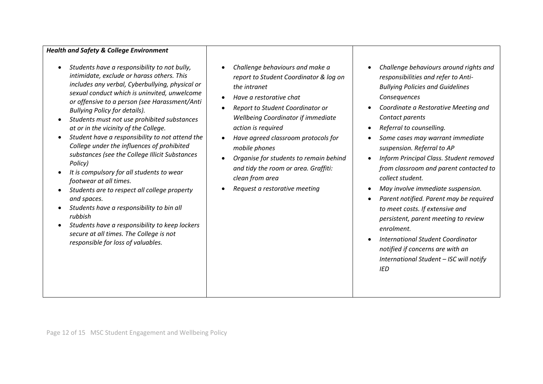#### *Health and Safety & College Environment*

- *Students have a responsibility to not bully, intimidate, exclude or harass others. This includes any verbal, Cyberbullying, physical or sexual conduct which is uninvited, unwelcome or offensive to a person (see Harassment/Anti Bullying Policy for details).*
- *Students must not use prohibited substances at or in the vicinity of the College.*
- *Student have a responsibility to not attend the College under the influences of prohibited substances (see the College Illicit Substances Policy)*
- *It is compulsory for all students to wear footwear at all times.*
- *Students are to respect all college property and spaces.*
- *Students have a responsibility to bin all rubbish*
- *Students have a responsibility to keep lockers secure at all times. The College is not responsible for loss of valuables.*
- *Challenge behaviours and make a report to Student Coordinator & log on the intranet*
- *Have a restorative chat*
- *Report to Student Coordinator or Wellbeing Coordinator if immediate action is required*
- *Have agreed classroom protocols for mobile phones*
- *Organise for students to remain behind and tidy the room or area. Graffiti: clean from area*
- *Request a restorative meeting*
- *Challenge behaviours around rights and responsibilities and refer to Anti-Bullying Policies and Guidelines Consequences*
- *Coordinate a Restorative Meeting and Contact parents*
- *Referral to counselling.*
- *Some cases may warrant immediate suspension. Referral to AP*
- *Inform Principal Class. Student removed from classroom and parent contacted to collect student.*
- *May involve immediate suspension.*
- *Parent notified. Parent may be required to meet costs. If extensive and persistent, parent meeting to review enrolment.*
- *International Student Coordinator notified if concerns are with an International Student – ISC will notify IED*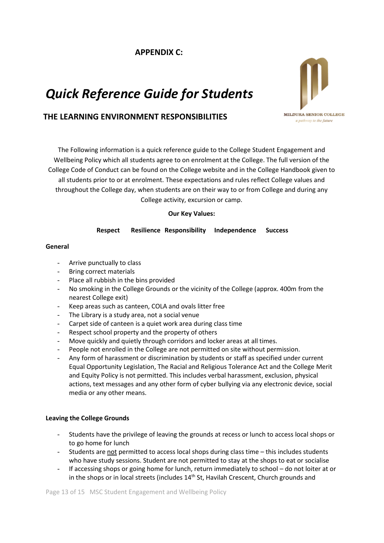# **APPENDIX C:**

# *Quick Reference Guide for Students*



# **THE LEARNING ENVIRONMENT RESPONSIBILITIES**

The Following information is a quick reference guide to the College Student Engagement and Wellbeing Policy which all students agree to on enrolment at the College. The full version of the College Code of Conduct can be found on the College website and in the College Handbook given to all students prior to or at enrolment. These expectations and rules reflect College values and throughout the College day, when students are on their way to or from College and during any College activity, excursion or camp.

#### **Our Key Values:**

## **Respect Resilience Responsibility Independence Success**

#### **General**

- Arrive punctually to class
- Bring correct materials
- Place all rubbish in the bins provided
- No smoking in the College Grounds or the vicinity of the College (approx. 400m from the nearest College exit)
- Keep areas such as canteen, COLA and ovals litter free
- The Library is a study area, not a social venue
- Carpet side of canteen is a quiet work area during class time
- Respect school property and the property of others
- Move quickly and quietly through corridors and locker areas at all times.
- People not enrolled in the College are not permitted on site without permission.
- Any form of harassment or discrimination by students or staff as specified under current Equal Opportunity Legislation, The Racial and Religious Tolerance Act and the College Merit and Equity Policy is not permitted. This includes verbal harassment, exclusion, physical actions, text messages and any other form of cyber bullying via any electronic device, social media or any other means.

#### **Leaving the College Grounds**

- Students have the privilege of leaving the grounds at recess or lunch to access local shops or to go home for lunch
- Students are not permitted to access local shops during class time this includes students who have study sessions. Student are not permitted to stay at the shops to eat or socialise
- If accessing shops or going home for lunch, return immediately to school do not loiter at or in the shops or in local streets (includes 14<sup>th</sup> St, Havilah Crescent, Church grounds and

Page 13 of 15 MSC Student Engagement and Wellbeing Policy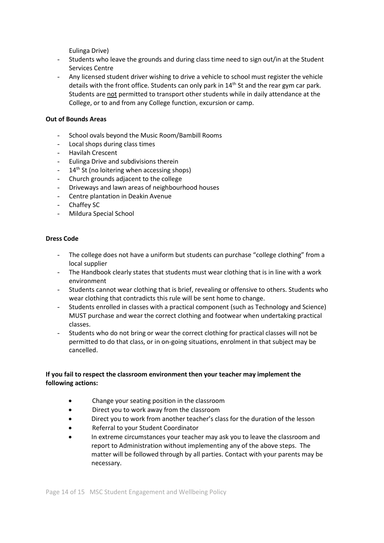Eulinga Drive)

- Students who leave the grounds and during class time need to sign out/in at the Student Services Centre
- Any licensed student driver wishing to drive a vehicle to school must register the vehicle details with the front office. Students can only park in 14<sup>th</sup> St and the rear gym car park. Students are not permitted to transport other students while in daily attendance at the College, or to and from any College function, excursion or camp.

# **Out of Bounds Areas**

- School ovals beyond the Music Room/Bambill Rooms
- Local shops during class times
- Havilah Crescent
- Eulinga Drive and subdivisions therein
- $14<sup>th</sup>$  St (no loitering when accessing shops)
- Church grounds adjacent to the college
- Driveways and lawn areas of neighbourhood houses
- Centre plantation in Deakin Avenue
- Chaffey SC
- Mildura Special School

#### **Dress Code**

- The college does not have a uniform but students can purchase "college clothing" from a local supplier
- The Handbook clearly states that students must wear clothing that is in line with a work environment
- Students cannot wear clothing that is brief, revealing or offensive to others. Students who wear clothing that contradicts this rule will be sent home to change.
- Students enrolled in classes with a practical component (such as Technology and Science) MUST purchase and wear the correct clothing and footwear when undertaking practical classes.
- Students who do not bring or wear the correct clothing for practical classes will not be permitted to do that class, or in on-going situations, enrolment in that subject may be cancelled.

## **If you fail to respect the classroom environment then your teacher may implement the following actions:**

- Change your seating position in the classroom
- Direct you to work away from the classroom
- Direct you to work from another teacher's class for the duration of the lesson
- Referral to your Student Coordinator
- In extreme circumstances your teacher may ask you to leave the classroom and report to Administration without implementing any of the above steps. The matter will be followed through by all parties. Contact with your parents may be necessary.